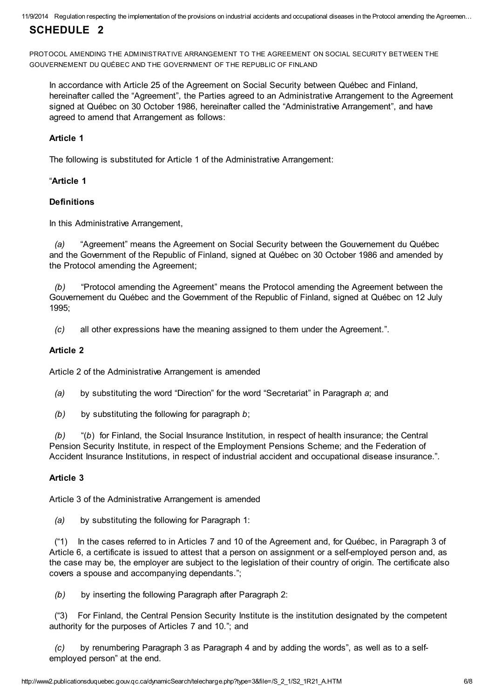11/9/2014 Regulation respecting the implementation of the provisions on industrial accidents and occupational diseases in the Protocol amending the Agreemen…

# SCHEDULE 2

PROTOCOL AMENDING THE ADMINISTRATIVE ARRANGEMENT TO THE AGREEMENT ON SOCIAL SECURITY BETWEEN THE GOUVERNEMENT DU QUÉBEC AND THE GOVERNMENT OF THE REPUBLIC OF FINLAND

In accordance with Article 25 of the Agreement on Social Security between Québec and Finland, hereinafter called the "Agreement", the Parties agreed to an Administrative Arrangement to the Agreement signed at Québec on 30 October 1986, hereinafter called the "Administrative Arrangement", and have agreed to amend that Arrangement as follows:

# Article 1

The following is substituted for Article 1 of the Administrative Arrangement:

# "Article 1

# **Definitions**

In this Administrative Arrangement,

(a) "Agreement" means the Agreement on Social Security between the Gouvernement du Québec and the Government of the Republic of Finland, signed at Québec on 30 October 1986 and amended by the Protocol amending the Agreement;

(b) "Protocol amending the Agreement" means the Protocol amending the Agreement between the Gouvernement du Québec and the Government of the Republic of Finland, signed at Québec on 12 July 1995;

(c) all other expressions have the meaning assigned to them under the Agreement.".

# Article 2

Article 2 of the Administrative Arrangement is amended

(a) by substituting the word "Direction" for the word "Secretariat" in Paragraph a; and

(b) by substituting the following for paragraph  $b$ ;

(b) "(b) for Finland, the Social Insurance Institution, in respect of health insurance; the Central Pension Security Institute, in respect of the Employment Pensions Scheme; and the Federation of Accident Insurance Institutions, in respect of industrial accident and occupational disease insurance.".

# Article 3

Article 3 of the Administrative Arrangement is amended

(a) by substituting the following for Paragraph 1:

("1) In the cases referred to in Articles 7 and 10 of the Agreement and, for Québec, in Paragraph 3 of Article 6, a certificate is issued to attest that a person on assignment or a self-employed person and, as the case may be, the employer are subject to the legislation of their country of origin. The certificate also covers a spouse and accompanying dependants.";

(b) by inserting the following Paragraph after Paragraph 2:

("3) For Finland, the Central Pension Security Institute is the institution designated by the competent authority for the purposes of Articles 7 and 10."; and

(c) by renumbering Paragraph 3 as Paragraph 4 and by adding the words", as well as to a selfemployed person" at the end.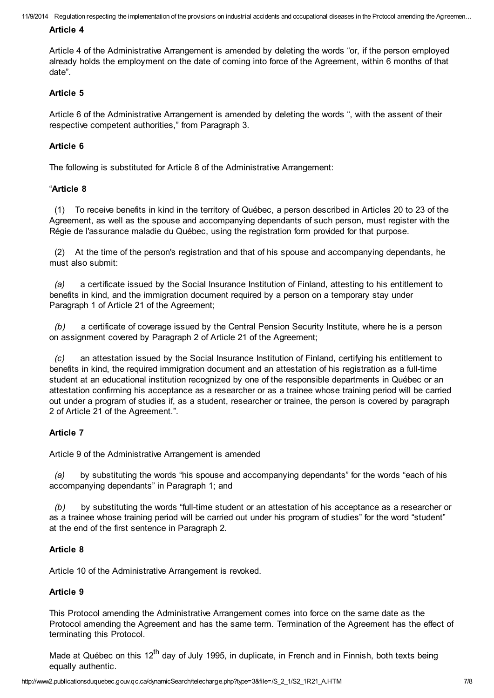11/9/2014 Regulation respecting the implementation of the provisions on industrial accidents and occupational diseases in the Protocol amending the Agreemen…

#### Article 4

Article 4 of the Administrative Arrangement is amended by deleting the words "or, if the person employed already holds the employment on the date of coming into force of the Agreement, within 6 months of that date".

## Article 5

Article 6 of the Administrative Arrangement is amended by deleting the words ", with the assent of their respective competent authorities," from Paragraph 3.

## Article 6

The following is substituted for Article 8 of the Administrative Arrangement:

## "Article 8

(1) To receive benefits in kind in the territory of Québec, a person described in Articles 20 to 23 of the Agreement, as well as the spouse and accompanying dependants of such person, must register with the Régie de l'assurance maladie du Québec, using the registration form provided for that purpose.

(2) At the time of the person's registration and that of his spouse and accompanying dependants, he must also submit:

(a) a certificate issued by the Social Insurance Institution of Finland, attesting to his entitlement to benefits in kind, and the immigration document required by a person on a temporary stay under Paragraph 1 of Article 21 of the Agreement;

(b) a certificate of coverage issued by the Central Pension Security Institute, where he is a person on assignment covered by Paragraph 2 of Article 21 of the Agreement;

(c) an attestation issued by the Social Insurance Institution of Finland, certifying his entitlement to benefits in kind, the required immigration document and an attestation of his registration as a full-time student at an educational institution recognized by one of the responsible departments in Québec or an attestation confirming his acceptance as a researcher or as a trainee whose training period will be carried out under a program of studies if, as a student, researcher or trainee, the person is covered by paragraph 2 of Article 21 of the Agreement.".

## Article 7

Article 9 of the Administrative Arrangement is amended

(a) by substituting the words "his spouse and accompanying dependants" for the words "each of his accompanying dependants" in Paragraph 1; and

(b) by substituting the words "full-time student or an attestation of his acceptance as a researcher or as a trainee whose training period will be carried out under his program of studies" for the word "student" at the end of the first sentence in Paragraph 2.

## Article 8

Article 10 of the Administrative Arrangement is revoked.

## Article 9

This Protocol amending the Administrative Arrangement comes into force on the same date as the Protocol amending the Agreement and has the same term. Termination of the Agreement has the effect of terminating this Protocol.

Made at Québec on this 12<sup>th</sup> day of July 1995, in duplicate, in French and in Finnish, both texts being equally authentic.